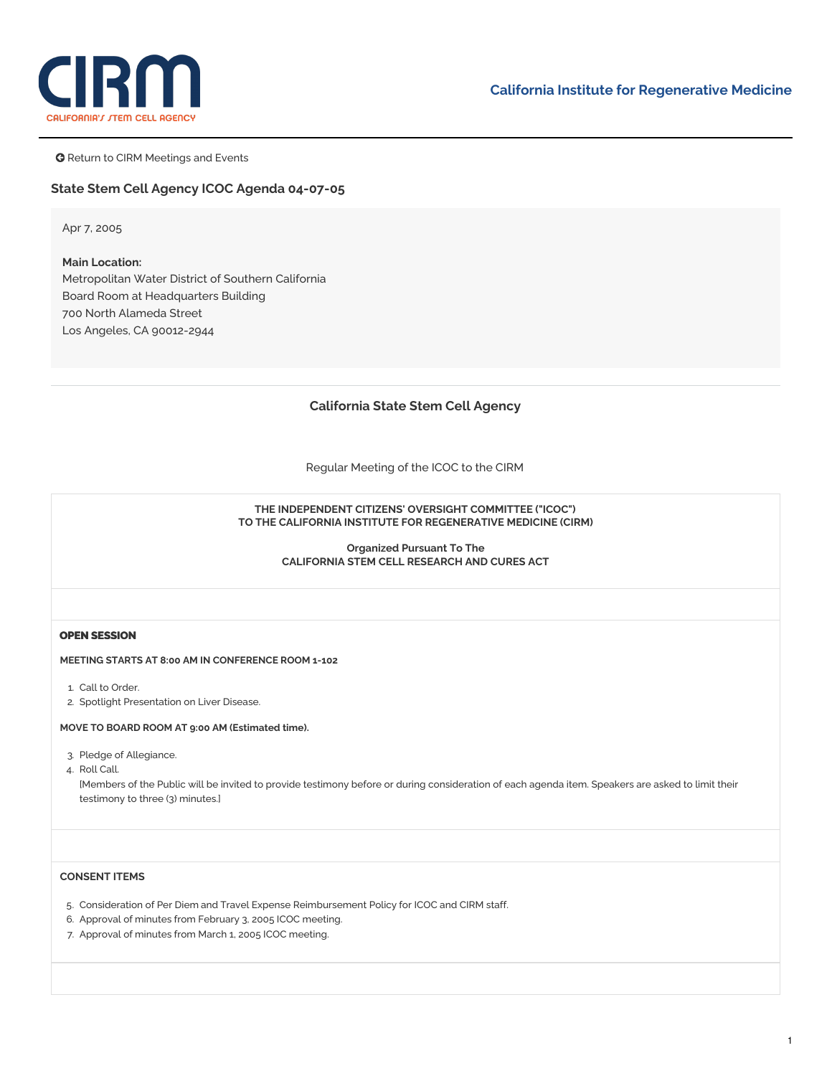

**G** Return to CIRM Meetings and Events

## **State Stem Cell Agency ICOC Agenda 04-07-05**

Apr 7, 2005

# **Main Location:** Metropolitan Water District of Southern California Board Room at Headquarters Building 700 North Alameda Street Los Angeles, CA 90012-2944

## **California State Stem Cell Agency**

Regular Meeting of the ICOC to the CIRM

#### **THE INDEPENDENT CITIZENS' OVERSIGHT COMMITTEE ("ICOC") TO THE CALIFORNIA INSTITUTE FOR REGENERATIVE MEDICINE (CIRM)**

**Organized Pursuant To The CALIFORNIA STEM CELL RESEARCH AND CURES ACT**

## **OPEN SESSION**

**MEETING STARTS AT 8:00 AM IN CONFERENCE ROOM 1-102**

- 1. Call to Order.
- 2. Spotlight Presentation on Liver Disease.

#### **MOVE TO BOARD ROOM AT 9:00 AM (Estimated time).**

- 3. Pledge of Allegiance.
- 4. Roll Call.

[Members of the Public will be invited to provide testimony before or during consideration of each agenda item. Speakers are asked to limit their testimony to three (3) minutes.]

## **CONSENT ITEMS**

- 5. Consideration of Per [Diem](https://www.cirm.ca.gov/sites/default/files/files/agenda/040705_item5.pdf) and Travel Expense [Reimbursement](https://www.cirm.ca.gov/sites/default/files/files/agenda/040705_item5_travel.pdf) Policy for ICOC and CIRM staff.
- 6. Approval of [minutes](https://www.cirm.ca.gov/sites/default/files/files/agenda/040705_item_6.pdf) from February 3, 2005 ICOC meeting.
- 7. Approval of [minutes](https://www.cirm.ca.gov/sites/default/files/files/agenda/040705_item07.pdf) from March 1, 2005 ICOC meeting.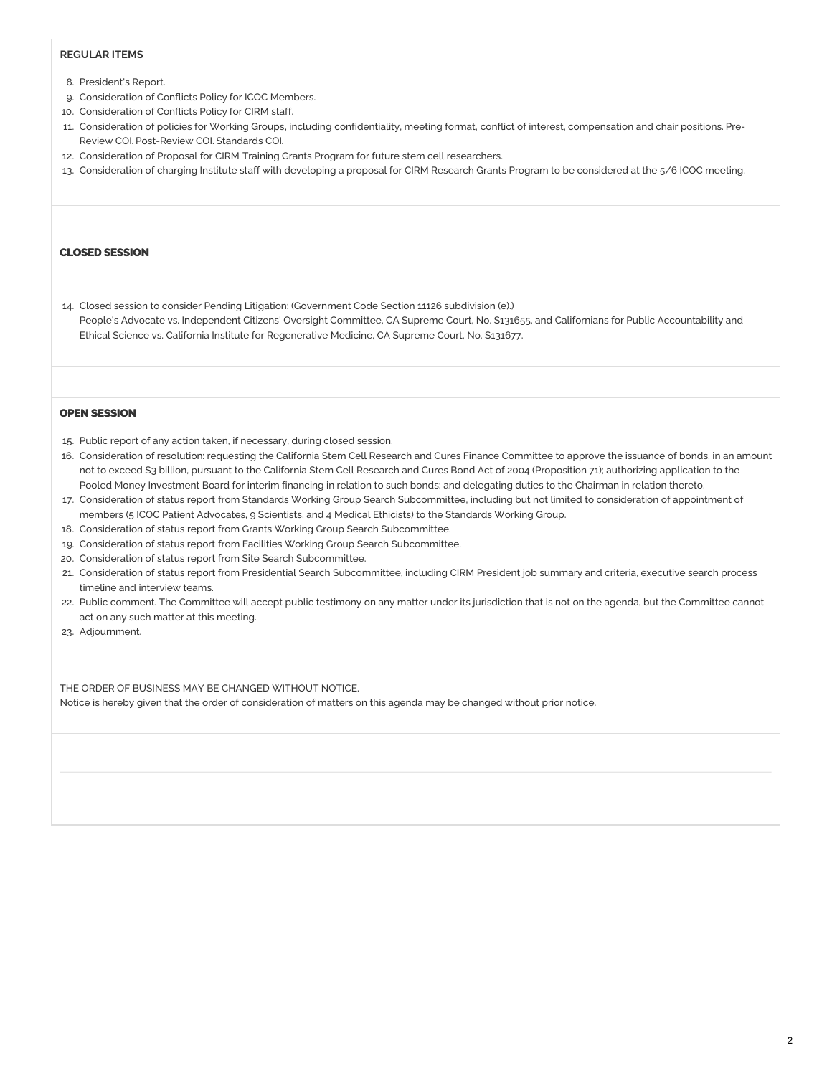## **REGULAR ITEMS**

- 8. [President's](https://www.cirm.ca.gov/sites/default/files/files/agenda/040705_ZHpresreport.pdf) Report.
- 9. Consideration of [Conflicts](https://www.cirm.ca.gov/sites/default/files/files/agenda/040705_item09.pdf) Policy for ICOC Members.
- 10. Consideration of [Conflicts](https://www.cirm.ca.gov/sites/default/files/files/agenda/040705_item10.pdf) Policy for CIRM staff.
- 11. Consideration of policies for [Working](https://www.cirm.ca.gov/sites/default/files/files/agenda/040705_item11.pdf) Groups, including [confidentialit](https://www.cirm.ca.gov/sites/default/files/files/agenda/040705_item11_Confid.pdf)[y,](https://www.cirm.ca.gov/sites/default/files/files/agenda/040705_item11_Pre.pdf) meeting format, [conflict](https://www.cirm.ca.gov/sites/default/files/files/agenda/040705_item11_Conflict.pdf) of interest, compensation and chair positions. Pre-Review COI. [Post-Review](https://www.cirm.ca.gov/sites/default/files/files/agenda/040705_item11_Post.pdf) COI. [Standards](https://www.cirm.ca.gov/sites/default/files/files/agenda/040705_item11_Stds.pdf) COI.
- 12. Consideration of Proposal for CIRM Training Grants [Program](https://www.cirm.ca.gov/sites/default/files/files/agenda/040705_item_12.pdf) for future stem cell researchers.
- 13. Consideration of charging Institute staff with developing a proposal for CIRM Research Grants Program to be considered at the 5/6 ICOC meeting.

#### **CLOSED SESSION**

14. Closed session to consider Pending Litigation: (Government Code Section 11126 subdivision (e).) People's Advocate vs. Independent Citizens' Oversight Committee, CA Supreme Court, No. S131655, and Californians for Public Accountability and Ethical Science vs. California Institute for Regenerative Medicine, CA Supreme Court, No. S131677.

### **OPEN SESSION**

- 15. Public report of any action taken, if necessary, during closed session.
- 16. Consideration of [resolution](https://www.cirm.ca.gov/sites/default/files/files/agenda/040705_item_16.pdf): requesting the California Stem Cell Research and Cures Finance Committee to approve the issuance of bonds, in an amount not to exceed \$3 billion, pursuant to the California Stem Cell Research and Cures Bond Act of 2004 (Proposition 71); authorizing application to the Pooled Money Investment Board for interim financing in relation to such bonds; and delegating duties to the Chairman in relation thereto.
- 17. Consideration of status [report](https://www.cirm.ca.gov/sites/default/files/files/agenda/040705_item17.pdf) from Standards Working Group Search Subcommittee, including but not limited to consideration of appointment of members (5 ICOC Patient Advocates, 9 Scientists, and 4 Medical Ethicists) to the Standards Working Group.
- 18. Consideration of status report from Grants Working Group Search Subcommittee.
- 19. Consideration of status [report](https://www.cirm.ca.gov/sites/default/files/files/agenda/040705_item19.pdf) from Facilities Working Group Search Subcommittee.
- 20. Consideration of status report from Site Search Subcommittee.
- 21. Consideration of status report from Presidential Search Subcommittee, including CIRM President job summary and criteria, executive search process timeline and interview teams.
- 22. Public comment. The Committee will accept public testimony on any matter under its jurisdiction that is not on the agenda, but the Committee cannot act on any such matter at this meeting.
- 23. Adjournment.

THE ORDER OF BUSINESS MAY BE CHANGED WITHOUT NOTICE. Notice is hereby given that the order of consideration of matters on this agenda may be changed without prior notice.